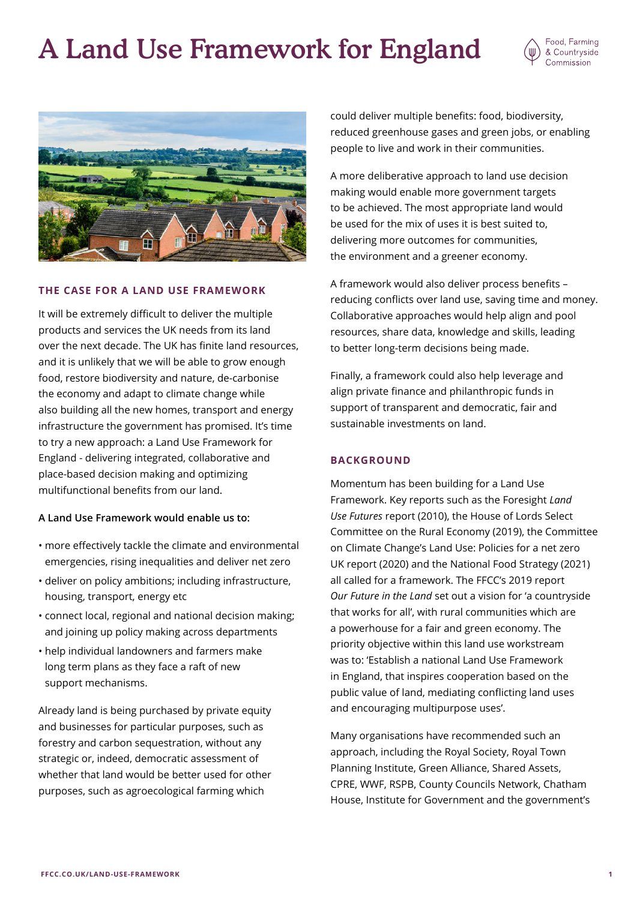# A Land Use Framework for England





# **THE CASE FOR A LAND USE FRAMEWORK**

It will be extremely difficult to deliver the multiple products and services the UK needs from its land over the next decade. The UK has finite land resources, and it is unlikely that we will be able to grow enough food, restore biodiversity and nature, de-carbonise the economy and adapt to climate change while also building all the new homes, transport and energy infrastructure the government has promised. It's time to try a new approach: a Land Use Framework for England - delivering integrated, collaborative and place-based decision making and optimizing multifunctional benefits from our land.

# **A Land Use Framework would enable us to:**

- more effectively tackle the climate and environmental emergencies, rising inequalities and deliver net zero
- deliver on policy ambitions; including infrastructure, housing, transport, energy etc
- connect local, regional and national decision making; and joining up policy making across departments
- help individual landowners and farmers make long term plans as they face a raft of new support mechanisms.

Already land is being purchased by private equity and businesses for particular purposes, such as forestry and carbon sequestration, without any strategic or, indeed, democratic assessment of whether that land would be better used for other purposes, such as agroecological farming which

could deliver multiple benefits: food, biodiversity, reduced greenhouse gases and green jobs, or enabling people to live and work in their communities.

A more deliberative approach to land use decision making would enable more government targets to be achieved. The most appropriate land would be used for the mix of uses it is best suited to, delivering more outcomes for communities, the environment and a greener economy.

A framework would also deliver process benefits – reducing conflicts over land use, saving time and money. Collaborative approaches would help align and pool resources, share data, knowledge and skills, leading to better long-term decisions being made.

Finally, a framework could also help leverage and align private finance and philanthropic funds in support of transparent and democratic, fair and sustainable investments on land.

### **BACKGROUND**

Momentum has been building for a Land Use Framework. Key reports such as the Foresight *Land Use Futures* report (2010), the House of Lords Select Committee on the Rural Economy (2019), the Committee on Climate Change's Land Use: Policies for a net zero UK report (2020) and the National Food Strategy (2021) all called for a framework. The FFCC's 2019 report *Our Future in the Land* set out a vision for 'a countryside that works for all', with rural communities which are a powerhouse for a fair and green economy. The priority objective within this land use workstream was to: 'Establish a national Land Use Framework in England, that inspires cooperation based on the public value of land, mediating conflicting land uses and encouraging multipurpose uses'.

Many organisations have recommended such an approach, including the Royal Society, Royal Town Planning Institute, Green Alliance, Shared Assets, CPRE, WWF, RSPB, County Councils Network, Chatham House, Institute for Government and the government's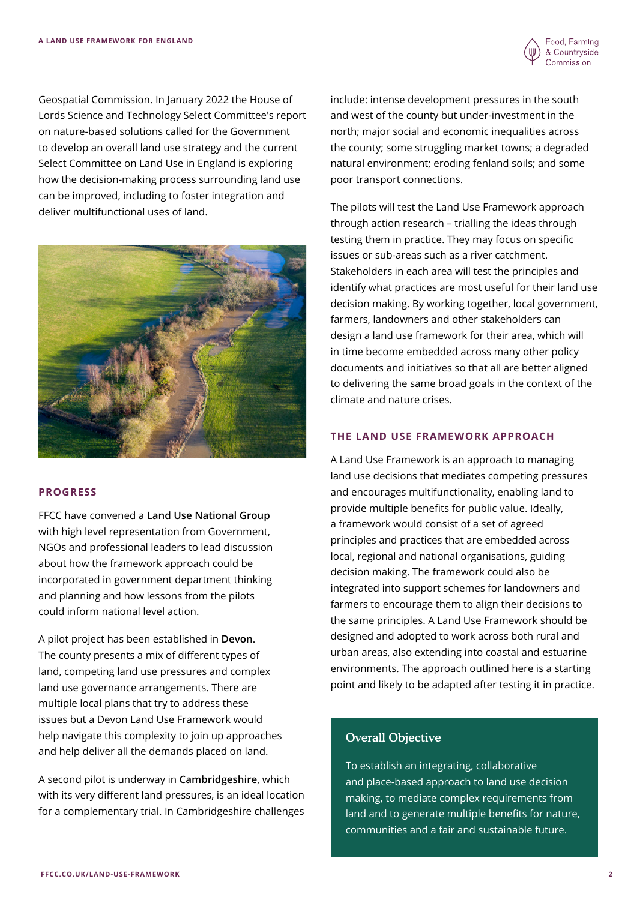Geospatial Commission. In January 2022 the House of Lords Science and Technology Select Committee's report on nature-based solutions called for the Government to develop an overall land use strategy and the current Select Committee on Land Use in England is exploring how the decision-making process surrounding land use can be improved, including to foster integration and deliver multifunctional uses of land.



# **PROGRESS**

FFCC have convened a **Land Use National Group** with high level representation from Government, NGOs and professional leaders to lead discussion about how the framework approach could be incorporated in government department thinking and planning and how lessons from the pilots could inform national level action.

A pilot project has been established in **Devon**. The county presents a mix of different types of land, competing land use pressures and complex land use governance arrangements. There are multiple local plans that try to address these issues but a Devon Land Use Framework would help navigate this complexity to join up approaches and help deliver all the demands placed on land.

A second pilot is underway in **Cambridgeshire**, which with its very different land pressures, is an ideal location for a complementary trial. In Cambridgeshire challenges

include: intense development pressures in the south and west of the county but under-investment in the north; major social and economic inequalities across the county; some struggling market towns; a degraded natural environment; eroding fenland soils; and some poor transport connections.

The pilots will test the Land Use Framework approach through action research – trialling the ideas through testing them in practice. They may focus on specific issues or sub-areas such as a river catchment. Stakeholders in each area will test the principles and identify what practices are most useful for their land use decision making. By working together, local government, farmers, landowners and other stakeholders can design a land use framework for their area, which will in time become embedded across many other policy documents and initiatives so that all are better aligned to delivering the same broad goals in the context of the climate and nature crises.

# **THE LAND USE FRAMEWORK APPROACH**

A Land Use Framework is an approach to managing land use decisions that mediates competing pressures and encourages multifunctionality, enabling land to provide multiple benefits for public value. Ideally, a framework would consist of a set of agreed principles and practices that are embedded across local, regional and national organisations, guiding decision making. The framework could also be integrated into support schemes for landowners and farmers to encourage them to align their decisions to the same principles. A Land Use Framework should be designed and adopted to work across both rural and urban areas, also extending into coastal and estuarine environments. The approach outlined here is a starting point and likely to be adapted after testing it in practice.

# Overall Objective

To establish an integrating, collaborative and place-based approach to land use decision making, to mediate complex requirements from land and to generate multiple benefits for nature, communities and a fair and sustainable future.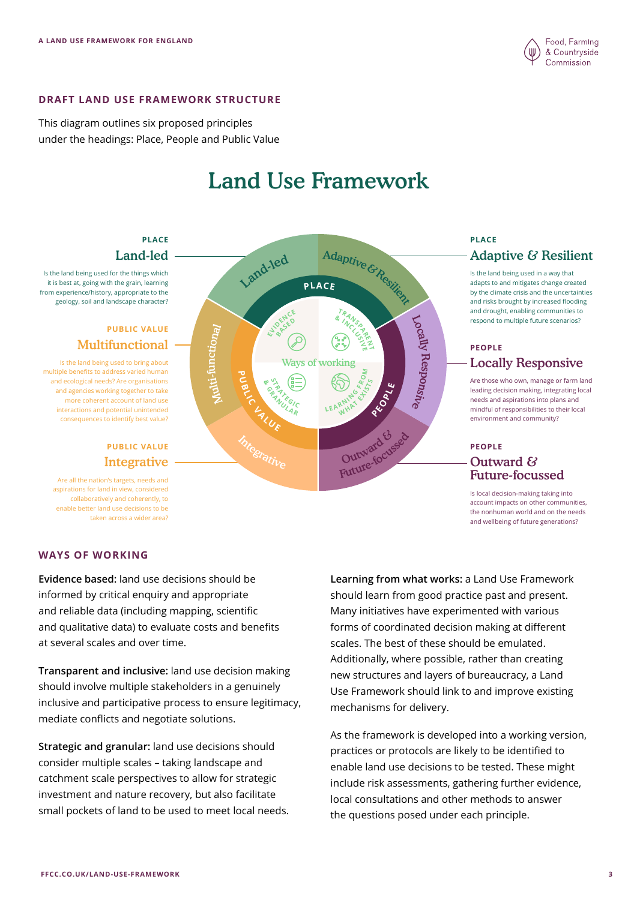

## **DRAFT LAND USE FRAMEWORK STRUCTURE**

This diagram outlines six proposed principles under the headings: Place, People and Public Value

# Land Use Framework

**PLACE**

Ways of working

Adaptive & Resilient

**T**

**M**

**TRANSPACE** 

**WATER LEARNING** 

**B** INVSS

Locally

Re

spons  $\tilde{z}$ 

**PEOPLE**

Land-le<sup>d</sup>

ELLIDENCE **BASE<sup>D</sup>**

**<sup>G</sup>R<sup>A</sup> <sup>N</sup> <sup>U</sup>LA<sup>R</sup> SALE**<br>RATIFIELD

**<sup>V</sup>ALU<sup>E</sup>**

**&**

Multi-functional

**P U BLIC**

Is the land being used for the things which it is best at, going with the grain, learning from experience/history, appropriate to the geology, soil and landscape character?

## Multifunctional **PUBLIC VALUE**

Is the land being used to bring about multiple benefits to address varied human and ecological needs? Are organisations and agencies working together to take more coherent account of land use interactions and potential unintended consequences to identify best value?

## **Integrative PUBLIC VALUE PEOPLE**

Are all the nation's targets, needs and aspirations for land in view, considered collaboratively and coherently, to enable better land use decisions to be taken across a wider area?

**WAYS OF WORKING** 

**Evidence based:** land use decisions should be informed by critical enquiry and appropriate and reliable data (including mapping, scientific and qualitative data) to evaluate costs and benefits at several scales and over time.

**Transparent and inclusive:** land use decision making should involve multiple stakeholders in a genuinely inclusive and participative process to ensure legitimacy, mediate conflicts and negotiate solutions.

**Strategic and granular:** land use decisions should consider multiple scales – taking landscape and catchment scale perspectives to allow for strategic investment and nature recovery, but also facilitate small pockets of land to be used to meet local needs.

**Learning from what works:** a Land Use Framework should learn from good practice past and present. Many initiatives have experimented with various forms of coordinated decision making at different scales. The best of these should be emulated. Future-focussed Outward & Integrative Cutward Couse

> Additionally, where possible, rather than creating new structures and layers of bureaucracy, a Land Use Framework should link to and improve existing mechanisms for delivery.

As the framework is developed into a working version, practices or protocols are likely to be identified to enable land use decisions to be tested. These might include risk assessments, gathering further evidence, local consultations and other methods to answer the questions posed under each principle.

# Land-led  $\overline{\phantom{a}}$  Adaptive  $\overline{\phantom{a}}$  Adaptive  $\overline{\phantom{a}}$  Adaptive  $\overline{\phantom{a}}$  Resilient **PLACE PLACE**

Is the land being used in a way that adapts to and mitigates change created by the climate crisis and the uncertainties and risks brought by increased flooding and drought, enabling communities to respond to multiple future scenarios?

# Locally Responsive **PEOPLE**

Are those who own, manage or farm land leading decision making, integrating local needs and aspirations into plans and mindful of responsibilities to their local environment and community?

# Outward &

Is local decision-making taking into account impacts on other communities, the nonhuman world and on the needs and wellbeing of future generations?